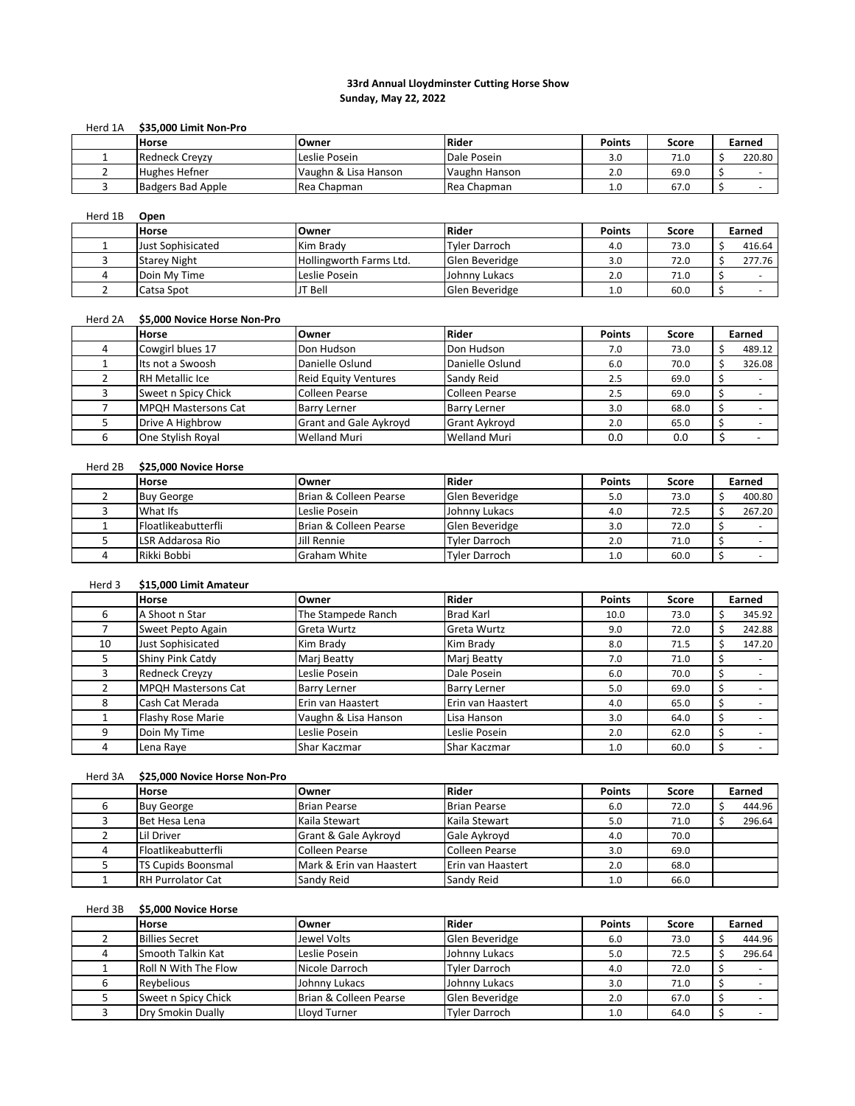## **33rd Annual Lloydminster Cutting Horse Show Sunday, May 22, 2022**

#### Herd 1A **\$35,000 Limit Non-Pro**

| <b>Horse</b>             | Owner                | Rider               | <b>Points</b> | Score | Earned |
|--------------------------|----------------------|---------------------|---------------|-------|--------|
| <b>Redneck Crevzy</b>    | Leslie Posein        | Dale Posein         | 3.0           | 71.0  | 220.80 |
| <b>Hughes Hefner</b>     | Vaughn & Lisa Hanson | Vaughn Hanson       | 2.0           | 69.0  |        |
| <b>Badgers Bad Apple</b> | Rea Chapman          | <b>IRea Chapman</b> | 1.0           | 67.0  |        |

# Herd 1B **Open**

| <b>Horse</b>        | Owner                   | Rider          | <b>Points</b> | Score | Earned |
|---------------------|-------------------------|----------------|---------------|-------|--------|
| Just Sophisicated   | Kim Brady               | Tyler Darroch  | 4.0           | 73.0  | 416.64 |
| <b>Starey Night</b> | Hollingworth Farms Ltd. | Glen Beveridge | 3.0           | 72.0  | 277.76 |
| Doin My Time        | Leslie Posein           | Johnny Lukacs  | 2.0           | 71.0  |        |
| Catsa Spot          | JT Bell                 | Glen Beveridge | 1.0           | 60.0  |        |

#### Herd 2A **\$5,000 Novice Horse Non-Pro**

| <b>Horse</b>               | <b>Owner</b>                  | Rider                 | <b>Points</b> | Score | Earned |
|----------------------------|-------------------------------|-----------------------|---------------|-------|--------|
| Cowgirl blues 17           | Don Hudson                    | Don Hudson            | 7.0           | 73.0  | 489.12 |
| Its not a Swoosh           | Danielle Oslund               | Danielle Oslund       | 6.0           | 70.0  | 326.08 |
| <b>RH Metallic Ice</b>     | <b>Reid Equity Ventures</b>   | Sandy Reid            | 2.5           | 69.0  |        |
| Sweet n Spicy Chick        | Colleen Pearse                | <b>Colleen Pearse</b> | 2.5           | 69.0  |        |
| <b>MPQH Mastersons Cat</b> | <b>Barry Lerner</b>           | <b>Barry Lerner</b>   | 3.0           | 68.0  |        |
| Drive A Highbrow           | <b>Grant and Gale Aykroyd</b> | <b>Grant Aykroyd</b>  | 2.0           | 65.0  |        |
| One Stylish Royal          | <b>Welland Muri</b>           | <b>Welland Muri</b>   | 0.0           | 0.0   |        |

### Herd 2B **\$25,000 Novice Horse**

| <b>Horse</b>                | Owner                  | <b>Rider</b>         | <b>Points</b> | Score | Earned |
|-----------------------------|------------------------|----------------------|---------------|-------|--------|
| <b>Buy George</b>           | Brian & Colleen Pearse | Glen Beveridge       | 5.0           | 73.0  | 400.80 |
| What Ifs                    | Leslie Posein          | Johnny Lukacs        | 4.0           | 72.5  | 267.20 |
| <b>IFloatlikeabutterfli</b> | Brian & Colleen Pearse | Glen Beveridge       | 3.0           | 72.0  |        |
| LSR Addarosa Rio            | Jill Rennie            | <b>Tyler Darroch</b> | 2.0           | 71.0  |        |
| Rikki Bobbi                 | <b>Graham White</b>    | <b>Tyler Darroch</b> | 1.0           | 60.0  |        |

# Herd 3 **\$15,000 Limit Amateur**

|    | <b>Horse</b>               | Owner                | <b>Rider</b>        | <b>Points</b> | Score | Earned |
|----|----------------------------|----------------------|---------------------|---------------|-------|--------|
| h  | A Shoot n Star             | The Stampede Ranch   | <b>Brad Karl</b>    | 10.0          | 73.0  | 345.92 |
|    | Sweet Pepto Again          | Greta Wurtz          | Greta Wurtz         | 9.0           | 72.0  | 242.88 |
| 10 | Just Sophisicated          | Kim Brady            | Kim Brady           | 8.0           | 71.5  | 147.20 |
|    | Shiny Pink Catdy           | Mari Beatty          | Mari Beatty         | 7.0           | 71.0  |        |
|    | <b>Redneck Crevzy</b>      | Leslie Posein        | Dale Posein         | 6.0           | 70.0  |        |
|    | <b>MPQH Mastersons Cat</b> | <b>Barry Lerner</b>  | <b>Barry Lerner</b> | 5.0           | 69.0  |        |
|    | Cash Cat Merada            | Erin van Haastert    | Erin van Haastert   | 4.0           | 65.0  |        |
|    | <b>Flashy Rose Marie</b>   | Vaughn & Lisa Hanson | Lisa Hanson         | 3.0           | 64.0  |        |
| q  | Doin My Time               | Leslie Posein        | Leslie Posein       | 2.0           | 62.0  |        |
| 4  | Lena Raye                  | Shar Kaczmar         | Shar Kaczmar        | 1.0           | 60.0  |        |

# Herd 3A **\$25,000 Novice Horse Non-Pro**

| <b>Horse</b>              | Owner                    | Rider                 | <b>Points</b> | Score | Earned |
|---------------------------|--------------------------|-----------------------|---------------|-------|--------|
| <b>Buy George</b>         | <b>Brian Pearse</b>      | <b>Brian Pearse</b>   | 6.0           | 72.0  | 444.96 |
| Bet Hesa Lena             | Kaila Stewart            | Kaila Stewart         | 5.0           | 71.0  | 296.64 |
| Lil Driver                | Grant & Gale Aykroyd     | Gale Aykroyd          | 4.0           | 70.0  |        |
| Floatlikeabutterfli       | Colleen Pearse           | <b>Colleen Pearse</b> | 3.0           | 69.0  |        |
| <b>TS Cupids Boonsmal</b> | Mark & Erin van Haastert | Erin van Haastert     | 2.0           | 68.0  |        |
| <b>RH Purrolator Cat</b>  | Sandy Reid               | Sandy Reid            | 1.0           | 66.0  |        |

### Herd 3B **\$5,000 Novice Horse**

| <b>Horse</b>                | Owner                  | Rider                | <b>Points</b> | Score | Earned |
|-----------------------------|------------------------|----------------------|---------------|-------|--------|
| <b>Billies Secret</b>       | Jewel Volts            | Glen Beveridge       | 6.0           | 73.0  | 444.96 |
| Smooth Talkin Kat           | Leslie Posein          | Johnny Lukacs        | 5.0           | 72.5  | 296.64 |
| <b>Roll N With The Flow</b> | Nicole Darroch         | Tyler Darroch        | 4.0           | 72.0  |        |
| Revbelious                  | Johnny Lukacs          | Johnny Lukacs        | 3.0           | 71.0  |        |
| Sweet n Spicy Chick         | Brian & Colleen Pearse | Glen Beveridge       | 2.0           | 67.0  |        |
| Dry Smokin Dually           | Llovd Turner           | <b>Tyler Darroch</b> | 1.0           | 64.0  |        |